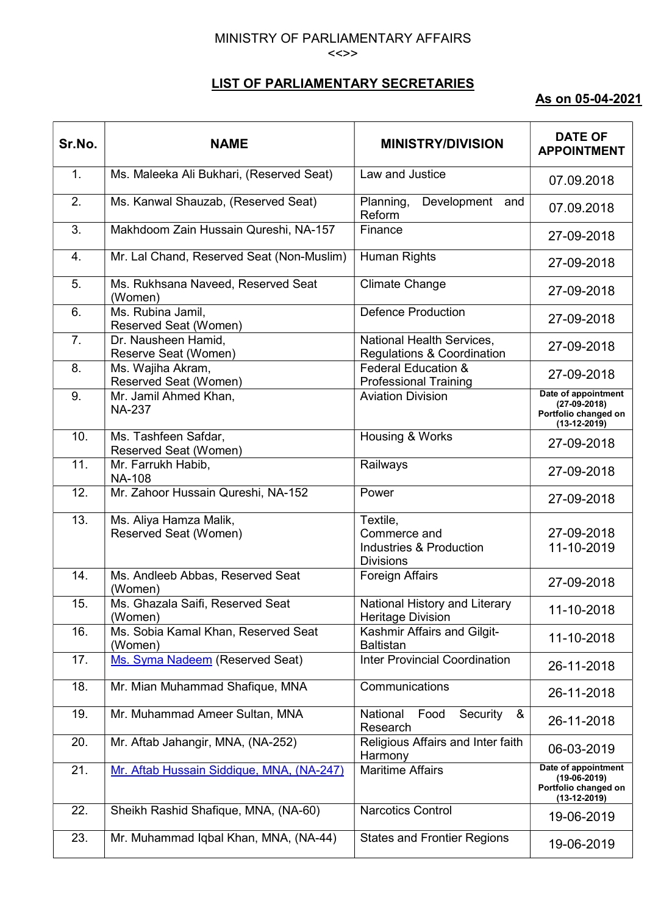## MINISTRY OF PARLIAMENTARY AFFAIRS <<>>

## LIST OF PARLIAMENTARY SECRETARIES

## As on 05-04-2021

| Sr.No. | <b>NAME</b>                                     | <b>MINISTRY/DIVISION</b>                                                           | <b>DATE OF</b><br><b>APPOINTMENT</b>                                            |
|--------|-------------------------------------------------|------------------------------------------------------------------------------------|---------------------------------------------------------------------------------|
| 1.     | Ms. Maleeka Ali Bukhari, (Reserved Seat)        | Law and Justice                                                                    | 07.09.2018                                                                      |
| 2.     | Ms. Kanwal Shauzab, (Reserved Seat)             | Planning,<br>Development<br>and<br>Reform                                          | 07.09.2018                                                                      |
| 3.     | Makhdoom Zain Hussain Qureshi, NA-157           | Finance                                                                            | 27-09-2018                                                                      |
| 4.     | Mr. Lal Chand, Reserved Seat (Non-Muslim)       | <b>Human Rights</b>                                                                | 27-09-2018                                                                      |
| 5.     | Ms. Rukhsana Naveed, Reserved Seat<br>(Women)   | Climate Change                                                                     | 27-09-2018                                                                      |
| 6.     | Ms. Rubina Jamil,<br>Reserved Seat (Women)      | <b>Defence Production</b>                                                          | 27-09-2018                                                                      |
| 7.     | Dr. Nausheen Hamid,<br>Reserve Seat (Women)     | National Health Services,<br><b>Regulations &amp; Coordination</b>                 | 27-09-2018                                                                      |
| 8.     | Ms. Wajiha Akram,<br>Reserved Seat (Women)      | Federal Education &<br><b>Professional Training</b>                                | 27-09-2018                                                                      |
| 9.     | Mr. Jamil Ahmed Khan,<br><b>NA-237</b>          | <b>Aviation Division</b>                                                           | Date of appointment<br>$(27-09-2018)$<br>Portfolio changed on<br>$(13-12-2019)$ |
| 10.    | Ms. Tashfeen Safdar,<br>Reserved Seat (Women)   | Housing & Works                                                                    | 27-09-2018                                                                      |
| 11.    | Mr. Farrukh Habib,<br><b>NA-108</b>             | Railways                                                                           | 27-09-2018                                                                      |
| 12.    | Mr. Zahoor Hussain Qureshi, NA-152              | Power                                                                              | 27-09-2018                                                                      |
| 13.    | Ms. Aliya Hamza Malik,<br>Reserved Seat (Women) | Textile,<br>Commerce and<br><b>Industries &amp; Production</b><br><b>Divisions</b> | 27-09-2018<br>11-10-2019                                                        |
| 14.    | Ms. Andleeb Abbas, Reserved Seat<br>(Women)     | <b>Foreign Affairs</b>                                                             | 27-09-2018                                                                      |
| 15.    | Ms. Ghazala Saifi, Reserved Seat<br>(Women)     | National History and Literary<br><b>Heritage Division</b>                          | 11-10-2018                                                                      |
| 16.    | Ms. Sobia Kamal Khan, Reserved Seat<br>(Women)  | Kashmir Affairs and Gilgit-<br><b>Baltistan</b>                                    | 11-10-2018                                                                      |
| 17.    | Ms. Syma Nadeem (Reserved Seat)                 | <b>Inter Provincial Coordination</b>                                               | 26-11-2018                                                                      |
| 18.    | Mr. Mian Muhammad Shafique, MNA                 | Communications                                                                     | 26-11-2018                                                                      |
| 19.    | Mr. Muhammad Ameer Sultan, MNA                  | Security<br>National<br>Food<br>&<br>Research                                      | 26-11-2018                                                                      |
| 20.    | Mr. Aftab Jahangir, MNA, (NA-252)               | Religious Affairs and Inter faith<br>Harmony                                       | 06-03-2019                                                                      |
| 21.    | Mr. Aftab Hussain Siddique, MNA, (NA-247)       | <b>Maritime Affairs</b>                                                            | Date of appointment<br>$(19-06-2019)$<br>Portfolio changed on<br>$(13-12-2019)$ |
| 22.    | Sheikh Rashid Shafique, MNA, (NA-60)            | <b>Narcotics Control</b>                                                           | 19-06-2019                                                                      |
| 23.    | Mr. Muhammad Iqbal Khan, MNA, (NA-44)           | <b>States and Frontier Regions</b>                                                 | 19-06-2019                                                                      |